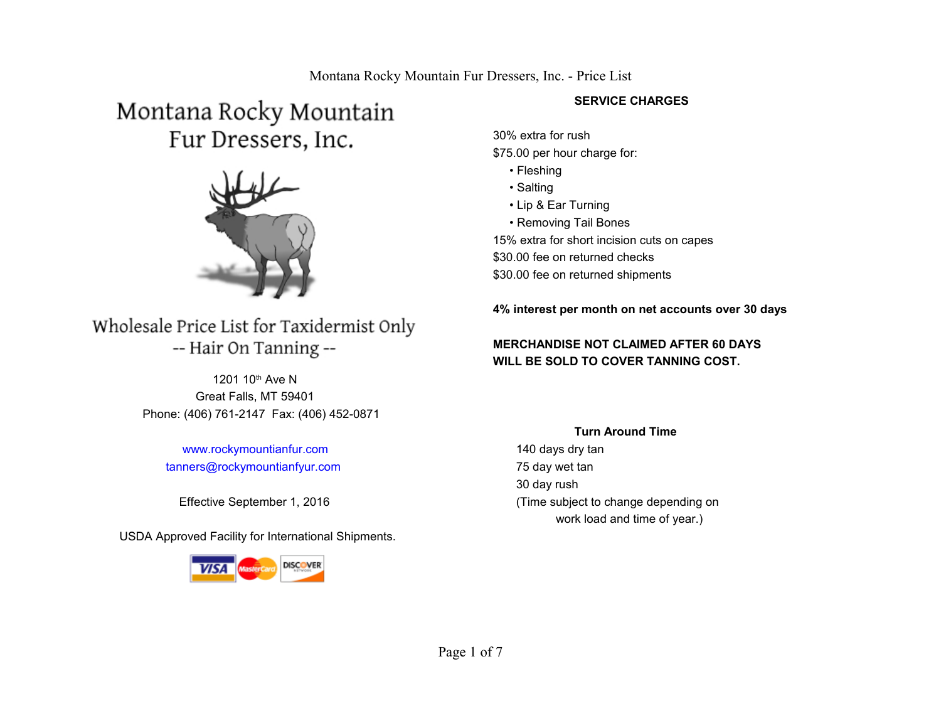# Montana Rocky Mountain Fur Dressers, Inc.



## Wholesale Price List for Taxidermist Only -- Hair On Tanning --

 Great Falls, MT 59401 Phone: (406) 761-2147 Fax: (406) 452-0871 1201 10<sup>th</sup> Ave N

 [www.rockymountianfur.com](http://www.rockymountianfur.com/)  [tanners@rockymountianfyur.com](mailto:tanners@rockymountianfyur.com)

USDA Approved Facility for International Shipments.



#### **SERVICE CHARGES**

30% extra for rush \$75.00 per hour charge for:

- Fleshing
- Salting
- Lip & Ear Turning
- Removing Tail Bones

15% extra for short incision cuts on capes \$30.00 fee on returned checks \$30.00 fee on returned shipments

**4% interest per month on net accounts over 30 days** 

#### **MERCHANDISE NOT CLAIMED AFTER 60 DAYS WILL BE SOLD TO COVER TANNING COST.**

#### **Turn Around Time**

 140 days dry tan 75 day wet tan 30 day rush Effective September 1, 2016 (Time subject to change depending on work load and time of year.)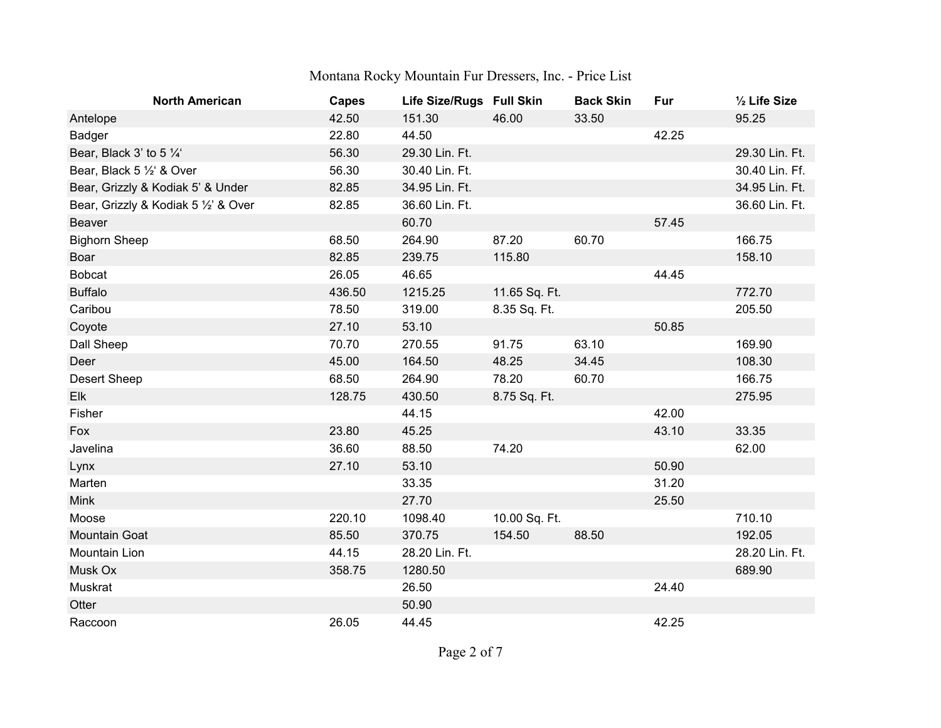| <b>North American</b>                | <b>Capes</b> | Life Size/Rugs Full Skin |               | <b>Back Skin</b> | Fur   | 1/2 Life Size  |
|--------------------------------------|--------------|--------------------------|---------------|------------------|-------|----------------|
| Antelope                             | 42.50        | 151.30                   | 46.00         | 33.50            |       | 95.25          |
| Badger                               | 22.80        | 44.50                    |               |                  | 42.25 |                |
| Bear, Black 3' to 5 1/4'             | 56.30        | 29.30 Lin. Ft.           |               |                  |       | 29.30 Lin. Ft. |
| Bear, Black 5 1/2' & Over            | 56.30        | 30.40 Lin. Ft.           |               |                  |       | 30.40 Lin. Ff. |
| Bear, Grizzly & Kodiak 5' & Under    | 82.85        | 34.95 Lin. Ft.           |               |                  |       | 34.95 Lin. Ft. |
| Bear, Grizzly & Kodiak 5 1/2' & Over | 82.85        | 36.60 Lin. Ft.           |               |                  |       | 36.60 Lin. Ft. |
| Beaver                               |              | 60.70                    |               |                  | 57.45 |                |
| <b>Bighorn Sheep</b>                 | 68.50        | 264.90                   | 87.20         | 60.70            |       | 166.75         |
| Boar                                 | 82.85        | 239.75                   | 115.80        |                  |       | 158.10         |
| <b>Bobcat</b>                        | 26.05        | 46.65                    |               |                  | 44.45 |                |
| <b>Buffalo</b>                       | 436.50       | 1215.25                  | 11.65 Sq. Ft. |                  |       | 772.70         |
| Caribou                              | 78.50        | 319.00                   | 8.35 Sq. Ft.  |                  |       | 205.50         |
| Coyote                               | 27.10        | 53.10                    |               |                  | 50.85 |                |
| Dall Sheep                           | 70.70        | 270.55                   | 91.75         | 63.10            |       | 169.90         |
| Deer                                 | 45.00        | 164.50                   | 48.25         | 34.45            |       | 108.30         |
| <b>Desert Sheep</b>                  | 68.50        | 264.90                   | 78.20         | 60.70            |       | 166.75         |
| Elk                                  | 128.75       | 430.50                   | 8.75 Sq. Ft.  |                  |       | 275.95         |
| Fisher                               |              | 44.15                    |               |                  | 42.00 |                |
| Fox                                  | 23.80        | 45.25                    |               |                  | 43.10 | 33.35          |
| Javelina                             | 36.60        | 88.50                    | 74.20         |                  |       | 62.00          |
| Lynx                                 | 27.10        | 53.10                    |               |                  | 50.90 |                |
| Marten                               |              | 33.35                    |               |                  | 31.20 |                |
| <b>Mink</b>                          |              | 27.70                    |               |                  | 25.50 |                |
| Moose                                | 220.10       | 1098.40                  | 10.00 Sq. Ft. |                  |       | 710.10         |
| <b>Mountain Goat</b>                 | 85.50        | 370.75                   | 154.50        | 88.50            |       | 192.05         |
| Mountain Lion                        | 44.15        | 28.20 Lin. Ft.           |               |                  |       | 28.20 Lin. Ft. |
| Musk Ox                              | 358.75       | 1280.50                  |               |                  |       | 689.90         |
| Muskrat                              |              | 26.50                    |               |                  | 24.40 |                |
| Otter                                |              | 50.90                    |               |                  |       |                |
| Raccoon                              | 26.05        | 44.45                    |               |                  | 42.25 |                |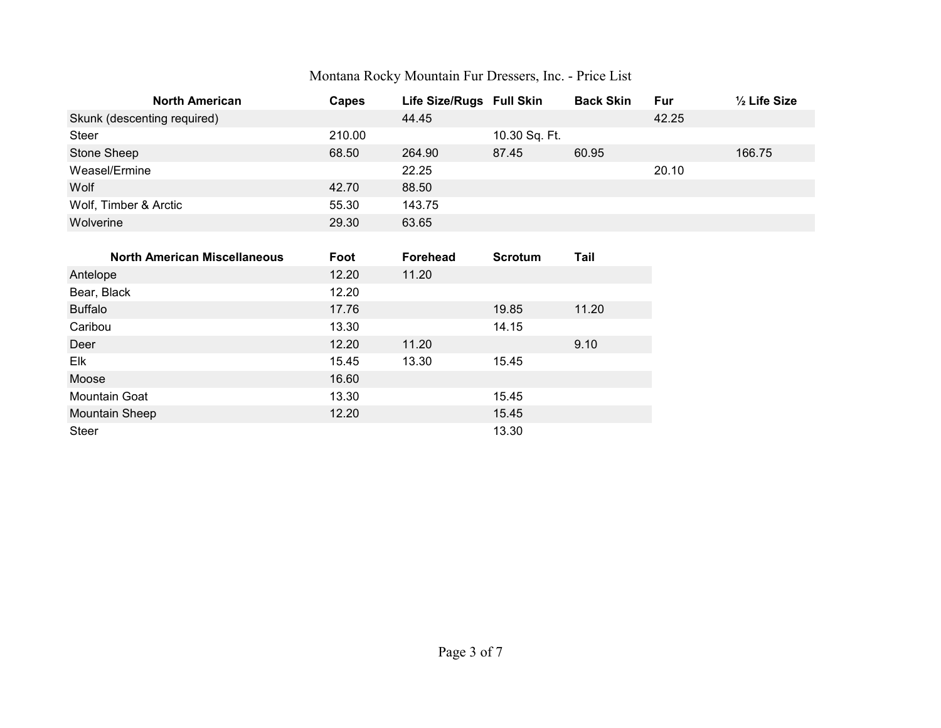| <b>North American</b>       | <b>Capes</b> | Life Size/Rugs Full Skin |               | <b>Back Skin</b> | Fur   | $\frac{1}{2}$ Life Size |
|-----------------------------|--------------|--------------------------|---------------|------------------|-------|-------------------------|
| Skunk (descenting required) |              | 44.45                    |               |                  | 42.25 |                         |
| <b>Steer</b>                | 210.00       |                          | 10.30 Sq. Ft. |                  |       |                         |
| Stone Sheep                 | 68.50        | 264.90                   | 87.45         | 60.95            |       | 166.75                  |
| Weasel/Ermine               |              | 22.25                    |               |                  | 20.10 |                         |
| Wolf                        | 42.70        | 88.50                    |               |                  |       |                         |
| Wolf, Timber & Arctic       | 55.30        | 143.75                   |               |                  |       |                         |
| Wolverine                   | 29.30        | 63.65                    |               |                  |       |                         |

| <b>North American Miscellaneous</b> | Foot  | <b>Forehead</b> | <b>Scrotum</b> | Tail  |
|-------------------------------------|-------|-----------------|----------------|-------|
| Antelope                            | 12.20 | 11.20           |                |       |
| Bear, Black                         | 12.20 |                 |                |       |
| <b>Buffalo</b>                      | 17.76 |                 | 19.85          | 11.20 |
| Caribou                             | 13.30 |                 | 14.15          |       |
| Deer                                | 12.20 | 11.20           |                | 9.10  |
| Elk                                 | 15.45 | 13.30           | 15.45          |       |
| Moose                               | 16.60 |                 |                |       |
| <b>Mountain Goat</b>                | 13.30 |                 | 15.45          |       |
| <b>Mountain Sheep</b>               | 12.20 |                 | 15.45          |       |
| <b>Steer</b>                        |       |                 | 13.30          |       |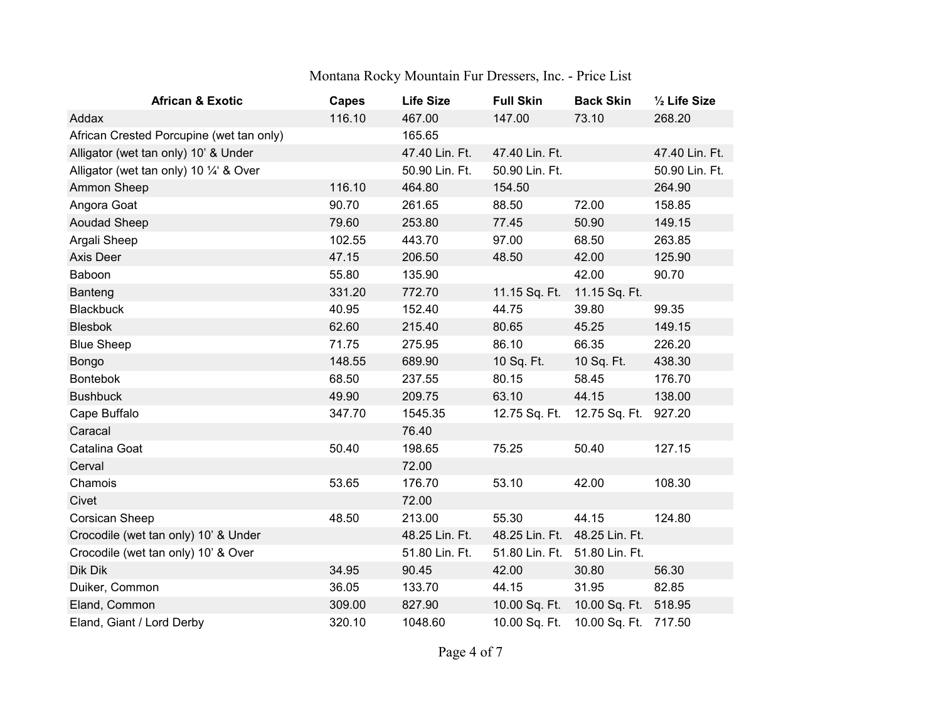| <b>African &amp; Exotic</b>              | <b>Capes</b> | <b>Life Size</b> | <b>Full Skin</b>              | <b>Back Skin</b>              | 1/2 Life Size  |
|------------------------------------------|--------------|------------------|-------------------------------|-------------------------------|----------------|
| Addax                                    | 116.10       | 467.00           | 147.00                        | 73.10                         | 268.20         |
| African Crested Porcupine (wet tan only) |              | 165.65           |                               |                               |                |
| Alligator (wet tan only) 10' & Under     |              | 47.40 Lin. Ft.   | 47.40 Lin. Ft.                |                               | 47.40 Lin. Ft. |
| Alligator (wet tan only) 10 1/4' & Over  |              | 50.90 Lin. Ft.   | 50.90 Lin. Ft.                |                               | 50.90 Lin. Ft. |
| Ammon Sheep                              | 116.10       | 464.80           | 154.50                        |                               | 264.90         |
| Angora Goat                              | 90.70        | 261.65           | 88.50                         | 72.00                         | 158.85         |
| <b>Aoudad Sheep</b>                      | 79.60        | 253.80           | 77.45                         | 50.90                         | 149.15         |
| Argali Sheep                             | 102.55       | 443.70           | 97.00                         | 68.50                         | 263.85         |
| Axis Deer                                | 47.15        | 206.50           | 48.50                         | 42.00                         | 125.90         |
| Baboon                                   | 55.80        | 135.90           |                               | 42.00                         | 90.70          |
| Banteng                                  | 331.20       | 772.70           | 11.15 Sq. Ft.                 | 11.15 Sq. Ft.                 |                |
| <b>Blackbuck</b>                         | 40.95        | 152.40           | 44.75                         | 39.80                         | 99.35          |
| <b>Blesbok</b>                           | 62.60        | 215.40           | 80.65                         | 45.25                         | 149.15         |
| <b>Blue Sheep</b>                        | 71.75        | 275.95           | 86.10                         | 66.35                         | 226.20         |
| Bongo                                    | 148.55       | 689.90           | 10 Sq. Ft.                    | 10 Sq. Ft.                    | 438.30         |
| <b>Bontebok</b>                          | 68.50        | 237.55           | 80.15                         | 58.45                         | 176.70         |
| <b>Bushbuck</b>                          | 49.90        | 209.75           | 63.10                         | 44.15                         | 138.00         |
| Cape Buffalo                             | 347.70       | 1545.35          | 12.75 Sq. Ft.                 | 12.75 Sq. Ft.                 | 927.20         |
| Caracal                                  |              | 76.40            |                               |                               |                |
| Catalina Goat                            | 50.40        | 198.65           | 75.25                         | 50.40                         | 127.15         |
| Cerval                                   |              | 72.00            |                               |                               |                |
| Chamois                                  | 53.65        | 176.70           | 53.10                         | 42.00                         | 108.30         |
| Civet                                    |              | 72.00            |                               |                               |                |
| Corsican Sheep                           | 48.50        | 213.00           | 55.30                         | 44.15                         | 124.80         |
| Crocodile (wet tan only) 10' & Under     |              | 48.25 Lin. Ft.   | 48.25 Lin. Ft. 48.25 Lin. Ft. |                               |                |
| Crocodile (wet tan only) 10' & Over      |              | 51.80 Lin. Ft.   |                               | 51.80 Lin. Ft. 51.80 Lin. Ft. |                |
| Dik Dik                                  | 34.95        | 90.45            | 42.00                         | 30.80                         | 56.30          |
| Duiker, Common                           | 36.05        | 133.70           | 44.15                         | 31.95                         | 82.85          |
| Eland, Common                            | 309.00       | 827.90           | 10.00 Sq. Ft.                 | 10.00 Sq. Ft. 518.95          |                |
| Eland, Giant / Lord Derby                | 320.10       | 1048.60          | 10.00 Sq. Ft.                 | 10.00 Sq. Ft. 717.50          |                |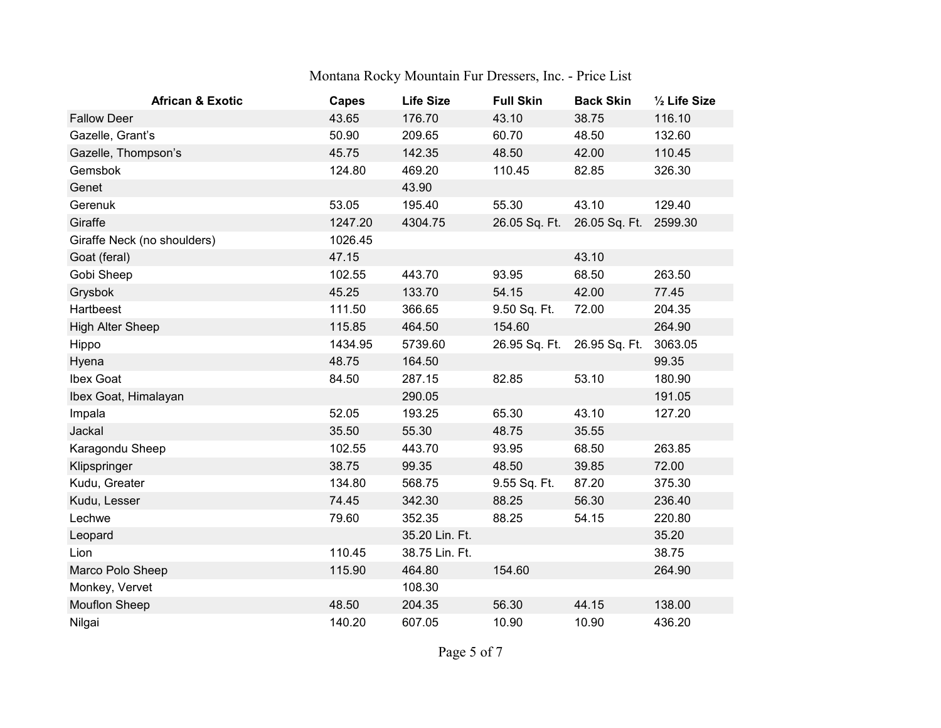| <b>African &amp; Exotic</b> | <b>Capes</b> | <b>Life Size</b> | <b>Full Skin</b> | <b>Back Skin</b> | 1/2 Life Size |
|-----------------------------|--------------|------------------|------------------|------------------|---------------|
| <b>Fallow Deer</b>          | 43.65        | 176.70           | 43.10            | 38.75            | 116.10        |
| Gazelle, Grant's            | 50.90        | 209.65           | 60.70            | 48.50            | 132.60        |
| Gazelle, Thompson's         | 45.75        | 142.35           | 48.50            | 42.00            | 110.45        |
| Gemsbok                     | 124.80       | 469.20           | 110.45           | 82.85            | 326.30        |
| Genet                       |              | 43.90            |                  |                  |               |
| Gerenuk                     | 53.05        | 195.40           | 55.30            | 43.10            | 129.40        |
| Giraffe                     | 1247.20      | 4304.75          | 26.05 Sq. Ft.    | 26.05 Sq. Ft.    | 2599.30       |
| Giraffe Neck (no shoulders) | 1026.45      |                  |                  |                  |               |
| Goat (feral)                | 47.15        |                  |                  | 43.10            |               |
| Gobi Sheep                  | 102.55       | 443.70           | 93.95            | 68.50            | 263.50        |
| Grysbok                     | 45.25        | 133.70           | 54.15            | 42.00            | 77.45         |
| Hartbeest                   | 111.50       | 366.65           | 9.50 Sq. Ft.     | 72.00            | 204.35        |
| <b>High Alter Sheep</b>     | 115.85       | 464.50           | 154.60           |                  | 264.90        |
| Hippo                       | 1434.95      | 5739.60          | 26.95 Sq. Ft.    | 26.95 Sq. Ft.    | 3063.05       |
| Hyena                       | 48.75        | 164.50           |                  |                  | 99.35         |
| Ibex Goat                   | 84.50        | 287.15           | 82.85            | 53.10            | 180.90        |
| Ibex Goat, Himalayan        |              | 290.05           |                  |                  | 191.05        |
| Impala                      | 52.05        | 193.25           | 65.30            | 43.10            | 127.20        |
| Jackal                      | 35.50        | 55.30            | 48.75            | 35.55            |               |
| Karagondu Sheep             | 102.55       | 443.70           | 93.95            | 68.50            | 263.85        |
| Klipspringer                | 38.75        | 99.35            | 48.50            | 39.85            | 72.00         |
| Kudu, Greater               | 134.80       | 568.75           | 9.55 Sq. Ft.     | 87.20            | 375.30        |
| Kudu, Lesser                | 74.45        | 342.30           | 88.25            | 56.30            | 236.40        |
| Lechwe                      | 79.60        | 352.35           | 88.25            | 54.15            | 220.80        |
| Leopard                     |              | 35.20 Lin. Ft.   |                  |                  | 35.20         |
| Lion                        | 110.45       | 38.75 Lin. Ft.   |                  |                  | 38.75         |
| Marco Polo Sheep            | 115.90       | 464.80           | 154.60           |                  | 264.90        |
| Monkey, Vervet              |              | 108.30           |                  |                  |               |
| <b>Mouflon Sheep</b>        | 48.50        | 204.35           | 56.30            | 44.15            | 138.00        |
| Nilgai                      | 140.20       | 607.05           | 10.90            | 10.90            | 436.20        |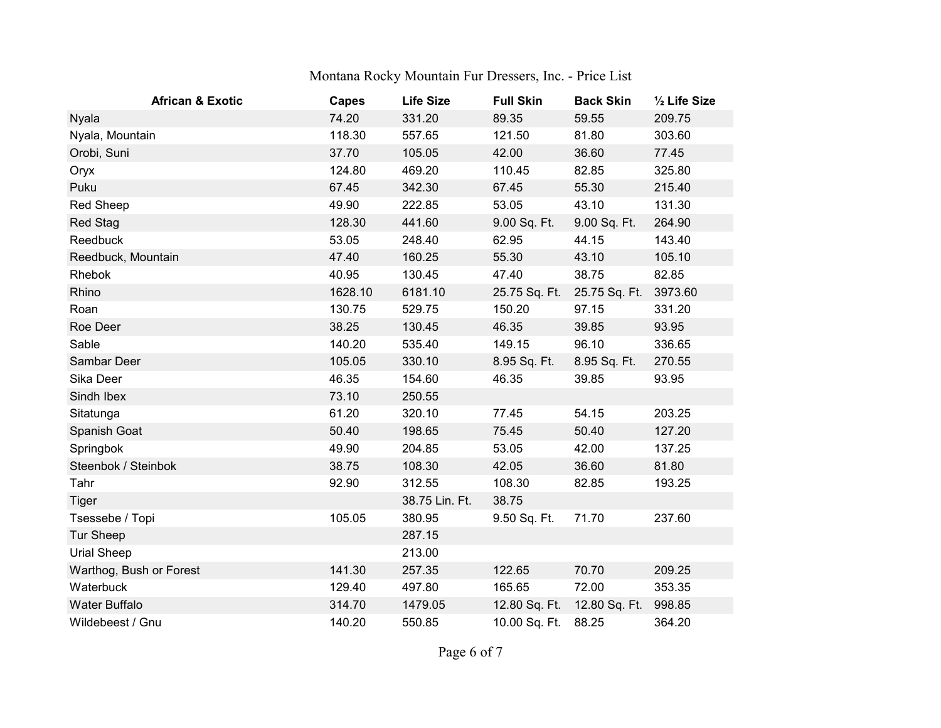| <b>African &amp; Exotic</b> | <b>Capes</b> | <b>Life Size</b> | <b>Full Skin</b> | <b>Back Skin</b>            | 1/2 Life Size |
|-----------------------------|--------------|------------------|------------------|-----------------------------|---------------|
| Nyala                       | 74.20        | 331.20           | 89.35            | 59.55                       | 209.75        |
| Nyala, Mountain             | 118.30       | 557.65           | 121.50           | 81.80                       | 303.60        |
| Orobi, Suni                 | 37.70        | 105.05           | 42.00            | 36.60                       | 77.45         |
| Oryx                        | 124.80       | 469.20           | 110.45           | 82.85                       | 325.80        |
| Puku                        | 67.45        | 342.30           | 67.45            | 55.30                       | 215.40        |
| <b>Red Sheep</b>            | 49.90        | 222.85           | 53.05            | 43.10                       | 131.30        |
| <b>Red Stag</b>             | 128.30       | 441.60           | 9.00 Sq. Ft.     | 9.00 Sq. Ft.                | 264.90        |
| Reedbuck                    | 53.05        | 248.40           | 62.95            | 44.15                       | 143.40        |
| Reedbuck, Mountain          | 47.40        | 160.25           | 55.30            | 43.10                       | 105.10        |
| Rhebok                      | 40.95        | 130.45           | 47.40            | 38.75                       | 82.85         |
| Rhino                       | 1628.10      | 6181.10          | 25.75 Sq. Ft.    | 25.75 Sq. Ft.               | 3973.60       |
| Roan                        | 130.75       | 529.75           | 150.20           | 97.15                       | 331.20        |
| Roe Deer                    | 38.25        | 130.45           | 46.35            | 39.85                       | 93.95         |
| Sable                       | 140.20       | 535.40           | 149.15           | 96.10                       | 336.65        |
| Sambar Deer                 | 105.05       | 330.10           | 8.95 Sq. Ft.     | 8.95 Sq. Ft.                | 270.55        |
| Sika Deer                   | 46.35        | 154.60           | 46.35            | 39.85                       | 93.95         |
| Sindh Ibex                  | 73.10        | 250.55           |                  |                             |               |
| Sitatunga                   | 61.20        | 320.10           | 77.45            | 54.15                       | 203.25        |
| Spanish Goat                | 50.40        | 198.65           | 75.45            | 50.40                       | 127.20        |
| Springbok                   | 49.90        | 204.85           | 53.05            | 42.00                       | 137.25        |
| Steenbok / Steinbok         | 38.75        | 108.30           | 42.05            | 36.60                       | 81.80         |
| Tahr                        | 92.90        | 312.55           | 108.30           | 82.85                       | 193.25        |
| <b>Tiger</b>                |              | 38.75 Lin. Ft.   | 38.75            |                             |               |
| Tsessebe / Topi             | 105.05       | 380.95           | 9.50 Sq. Ft.     | 71.70                       | 237.60        |
| <b>Tur Sheep</b>            |              | 287.15           |                  |                             |               |
| Urial Sheep                 |              | 213.00           |                  |                             |               |
| Warthog, Bush or Forest     | 141.30       | 257.35           | 122.65           | 70.70                       | 209.25        |
| Waterbuck                   | 129.40       | 497.80           | 165.65           | 72.00                       | 353.35        |
| Water Buffalo               | 314.70       | 1479.05          |                  | 12.80 Sq. Ft. 12.80 Sq. Ft. | 998.85        |
| Wildebeest / Gnu            | 140.20       | 550.85           | 10.00 Sq. Ft.    | 88.25                       | 364.20        |